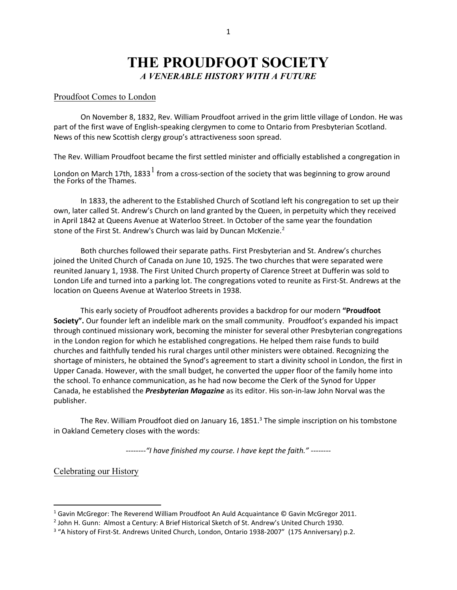# **THE PROUDFOOT SOCIETY** *A VENERABLE HISTORY WITH A FUTURE*

#### Proudfoot Comes to London

On November 8, 1832, Rev. William Proudfoot arrived in the grim little village of London. He was part of the first wave of English-speaking clergymen to come to Ontario from Presbyterian Scotland. News of this new Scottish clergy group's attractiveness soon spread.

The Rev. William Proudfoot became the first settled minister and officially established a congregation in

London on March [1](#page-0-0)7th, 1833 $^{\rm l}$  from a cross-section of the society that was beginning to grow around the Forks of the Thames.

In 1833, the adherent to the Established Church of Scotland left his congregation to set up their own, later called St. Andrew's Church on land granted by the Queen, in perpetuity which they received in April 1842 at Queens Avenue at Waterloo Street. In October of the same year the foundation stone of the First St. Andrew's Church was laid by Duncan McKenzie.<sup>[2](#page-0-1)</sup>

Both churches followed their separate paths. First Presbyterian and St. Andrew's churches joined the United Church of Canada on June 10, 1925. The two churches that were separated were reunited January 1, 1938. The First United Church property of Clarence Street at Dufferin was sold to London Life and turned into a parking lot. The congregations voted to reunite as First-St. Andrews at the location on Queens Avenue at Waterloo Streets in 1938.

This early society of Proudfoot adherents provides a backdrop for our modern **"Proudfoot Society".** Our founder left an indelible mark on the small community. Proudfoot's expanded his impact through continued missionary work, becoming the minister for several other Presbyterian congregations in the London region for which he established congregations. He helped them raise funds to build churches and faithfully tended his rural charges until other ministers were obtained. Recognizing the shortage of ministers, he obtained the Synod's agreement to start a divinity school in London, the first in Upper Canada. However, with the small budget, he converted the upper floor of the family home into the school. To enhance communication, as he had now become the Clerk of the Synod for Upper Canada, he established the *Presbyterian Magazine* as its editor. His son-in-law John Norval was the publisher.

The Rev. William Proudfoot died on January 16, 1851. $3$  The simple inscription on his tombstone in Oakland Cemetery closes with the words:

*--------"I have finished my course. I have kept the faith." --------*

Celebrating our History

<span id="page-0-0"></span><sup>&</sup>lt;sup>1</sup> Gavin McGregor: The Reverend William Proudfoot An Auld Acquaintance © Gavin McGregor 2011.<br><sup>2</sup> John H. Gunn: Almost a Century: A Brief Historical Sketch of St. Andrew's United Church 1930.

<span id="page-0-1"></span>

<span id="page-0-2"></span><sup>&</sup>lt;sup>3</sup> "A history of First-St. Andrews United Church, London, Ontario 1938-2007" (175 Anniversary) p.2.